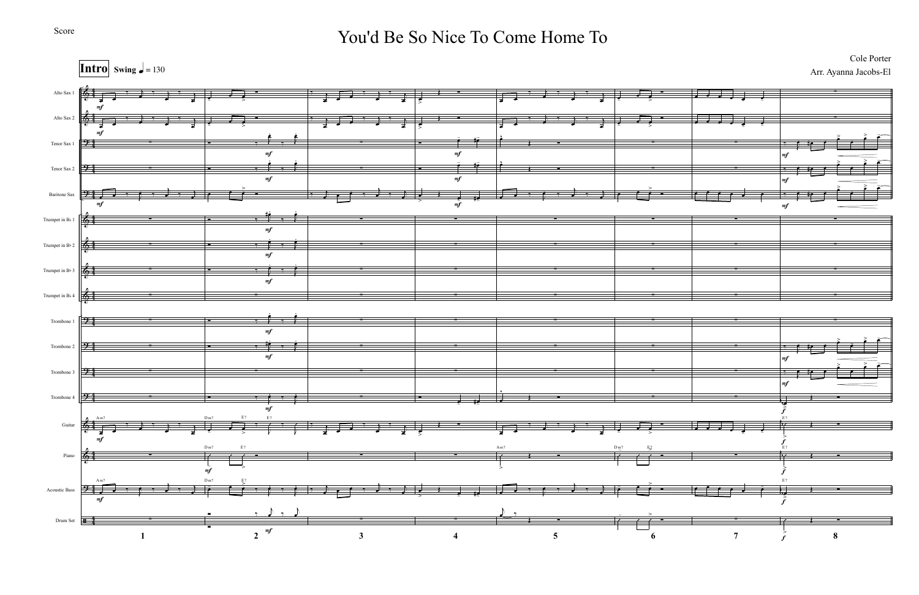

## Cole Porter

Score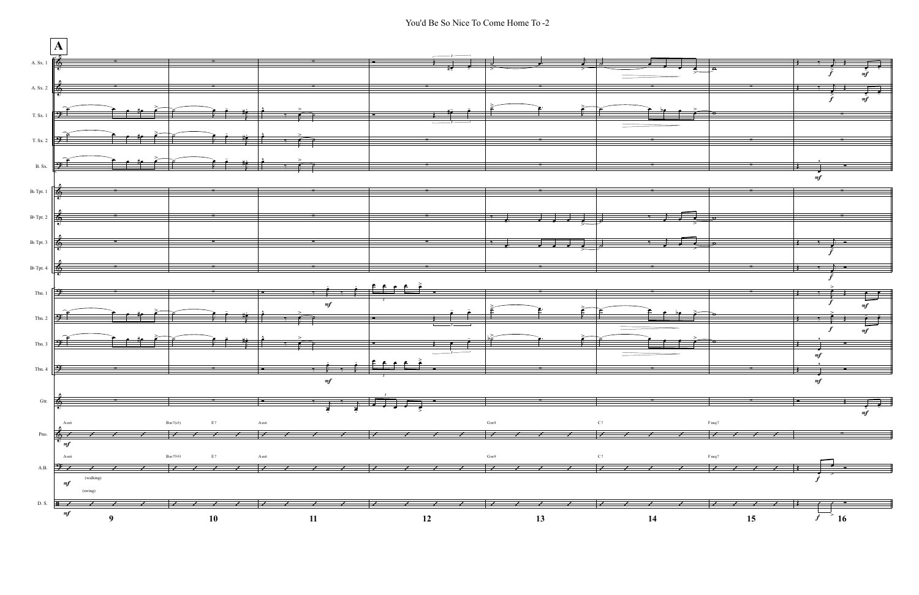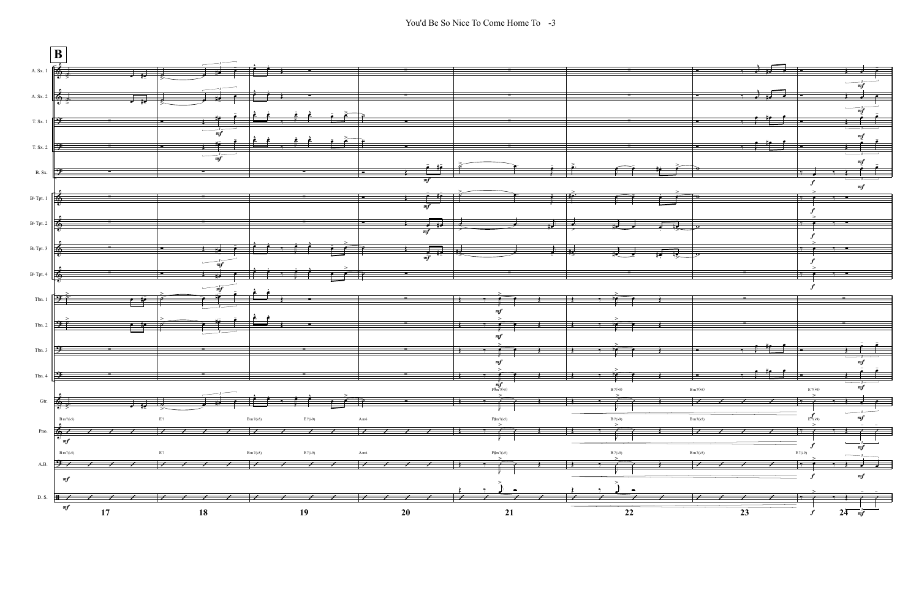$\boxed{\mathbf{B}}$ 长 A. Sx. 1 A. Sx. 2 T. Sx. 1  $m$ T. Sx. 2  $mf$ **B.** Sx.  $B<sup>b</sup>$  Tpt. 1  $m\bar{t}$  $B \triangleright$  Tpt. 2  $\overline{\phantom{a}}$  $\overline{m}$  $B \triangleright$  Tpt. 3  $m\bar{f}$  $m f$ B<sub>b</sub> Tpt. 4  $\overrightarrow{m}$ Tbn. 1  $m f$ Tbn. 2  $m f$ Tbn. 3 -6  $m f$ Tbn. 4  $\inf_{\mathrm{F\sharp m7(b5}}}$  $B7(b9)$ Gtr.  $\,$  $\overline{a}$ V  $E7$  $B \text{ m} 7(\frac{1}{2})$  $E7(b9)$  $F\sharp \mathfrak{m}7(\flat 5)$  $B7(b9)$  $Bm7(b5)$  $Am6$ Pno.  $\frac{1}{2}$ V.  $^{\prime}$  mf  $\to$  7  $B \text{ m} 7(b5)$  $E7(19)$  $Am6$  $B7(b9)$  $Bm7(b5)$  $F\sharp m7(\flat 5)$  $A.B.$  $\overline{\phantom{a}}$  $\overline{\phantom{a}}$  $\overline{\phantom{a}}$  $\frac{1}{2}$  $\overline{\phantom{a}}$  $\overline{\phantom{a}}$  $\it mf$  $\geq$ 

20

21

19

 $D.S.$ 

 $\it mf$ 

 $\overline{\phantom{a}}$ 

17

 $\overline{\phantom{a}}$ 

**18** 

You'd Be So Nice To Come Home To -3



 $\overline{22}$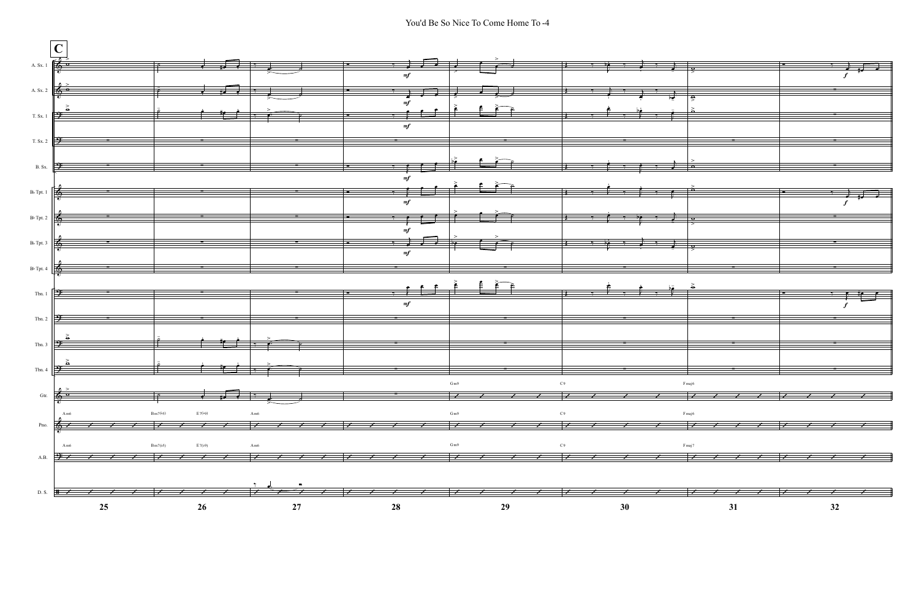

|                         | $\overline{\mathbf{r}}$<br>- |
|-------------------------|------------------------------|
|                         |                              |
|                         |                              |
| र्                      | ⋕J                           |
|                         |                              |
|                         |                              |
|                         |                              |
|                         |                              |
|                         |                              |
|                         |                              |
|                         |                              |
|                         |                              |
|                         | ≖                            |
|                         |                              |
|                         |                              |
| $\overline{\mathbf{e}}$ |                              |
|                         |                              |
|                         |                              |
|                         |                              |
|                         |                              |
|                         |                              |
| $\,>$                   |                              |
| $\bullet$               |                              |
|                         | .,                           |
|                         |                              |
|                         |                              |
|                         |                              |
|                         |                              |
|                         |                              |
|                         |                              |
|                         |                              |
|                         |                              |
|                         |                              |
|                         |                              |
|                         |                              |
|                         |                              |
|                         |                              |
|                         |                              |
|                         |                              |
|                         |                              |
|                         |                              |
|                         |                              |
|                         |                              |
|                         |                              |
|                         |                              |
| $\geq$                  |                              |
|                         |                              |
| $\bullet$               |                              |
|                         |                              |
|                         |                              |

| $\overline{\phantom{a}}$ |                         |
|--------------------------|-------------------------|
|                          |                         |
| $\bullet$                | $\overline{\mathbf{r}}$ |
|                          |                         |
|                          | π                       |
|                          | τı                      |
|                          |                         |
|                          |                         |
|                          |                         |
|                          |                         |
|                          |                         |
|                          |                         |
|                          |                         |
|                          |                         |
|                          |                         |
|                          | ┳                       |
| $\bf \sigma$             |                         |
|                          |                         |
| $\geq$                   |                         |
|                          |                         |
|                          |                         |
|                          |                         |
|                          |                         |
|                          |                         |
|                          |                         |
|                          |                         |
|                          |                         |
|                          | ٠                       |
|                          |                         |
|                          |                         |
| $\bf \sigma$             |                         |
| ⋝                        |                         |
|                          |                         |
|                          |                         |
|                          |                         |
|                          |                         |
|                          |                         |
|                          |                         |
|                          |                         |
|                          |                         |
| -                        | ,                       |
|                          |                         |
|                          |                         |
|                          |                         |

| $\bullet$ |                         |
|-----------|-------------------------|
|           |                         |
|           |                         |
|           | $\overline{\mathbf{r}}$ |
|           |                         |
|           |                         |
|           |                         |
|           |                         |
|           |                         |
|           |                         |
|           |                         |
|           |                         |
|           |                         |
|           |                         |
|           |                         |
|           |                         |
|           |                         |
|           |                         |
|           |                         |
|           |                         |
|           |                         |
|           |                         |
|           |                         |
|           |                         |
|           |                         |
|           |                         |
|           |                         |
|           |                         |
|           |                         |
| ≖         | ┳                       |
|           |                         |
|           |                         |
|           |                         |
|           |                         |
|           |                         |
|           |                         |
|           |                         |
|           |                         |
|           |                         |
|           |                         |
|           |                         |
|           |                         |
| . .       | . .                     |
|           |                         |
|           |                         |
|           |                         |

 $\rm F\, maj6$ 

 $\rm F\, maj6$  $\overline{\phantom{a}}$ 

 $\rm F\, maj$  7

31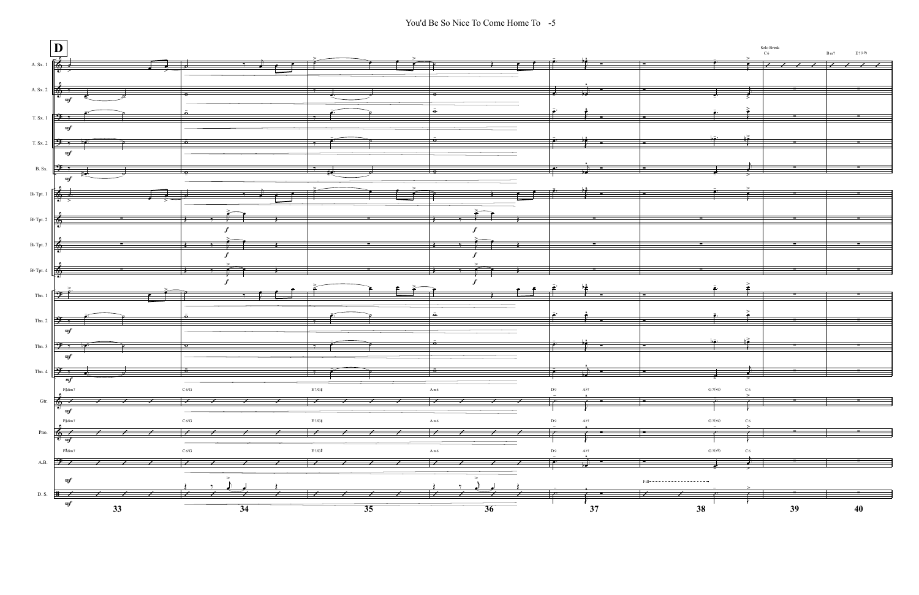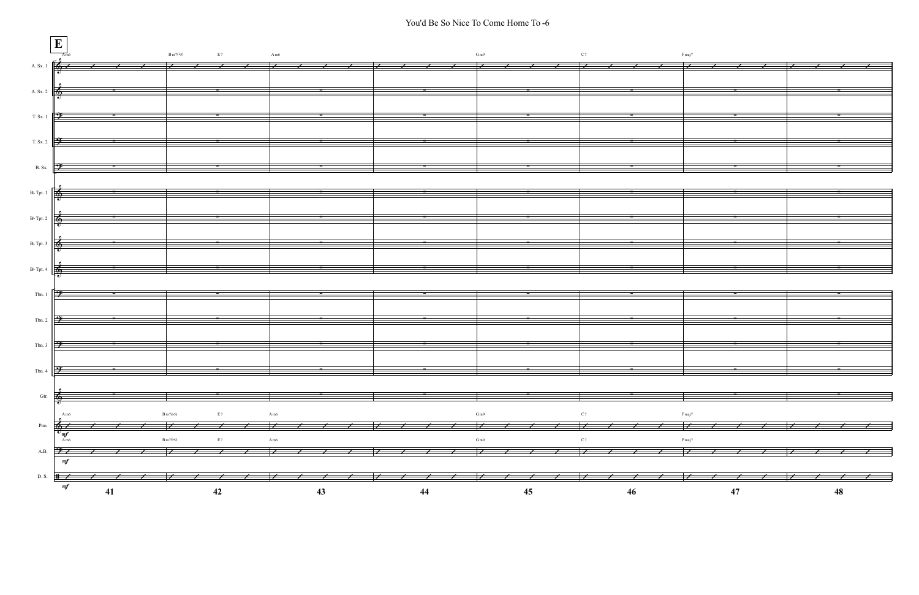

|--|

| ╾ | ╾ |
|---|---|
|   |   |
|   |   |
|   |   |
|   |   |
|   |   |
|   |   |
|   |   |
|   |   |
|   |   |
|   |   |
|   |   |
|   |   |
|   |   |
| ╾ | ╾ |
|   |   |
|   |   |

| _____ |  |
|-------|--|
|       |  |
|       |  |
|       |  |
|       |  |
|       |  |
|       |  |
|       |  |
|       |  |
|       |  |
|       |  |
|       |  |
|       |  |
|       |  |
|       |  |
|       |  |
|       |  |
|       |  |
|       |  |
|       |  |
|       |  |
|       |  |
|       |  |
|       |  |
|       |  |
|       |  |
|       |  |
|       |  |
|       |  |
|       |  |
|       |  |
|       |  |
|       |  |
|       |  |
|       |  |
|       |  |
|       |  |
|       |  |
|       |  |
|       |  |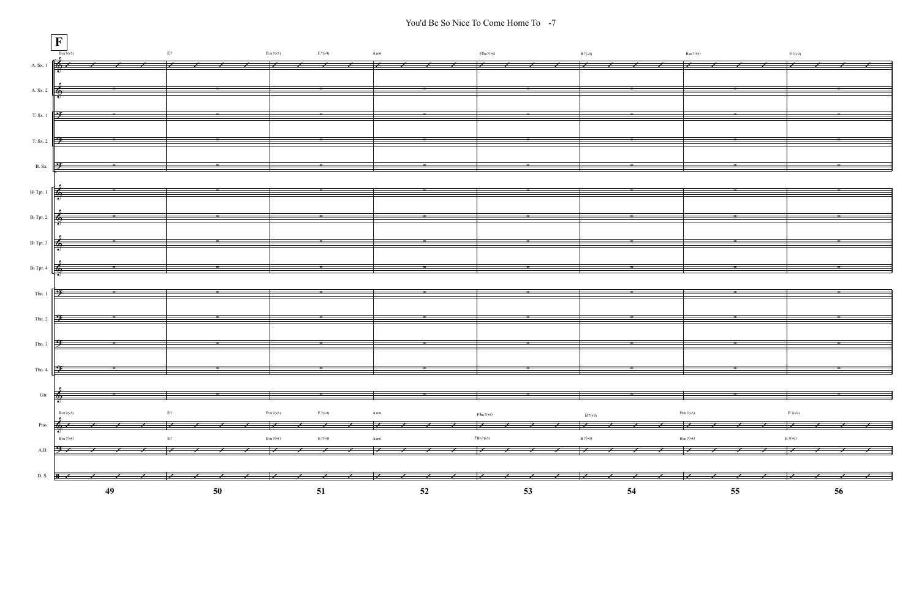

|        | $-$  |   |
|--------|------|---|
|        |      |   |
|        |      |   |
|        |      |   |
|        |      |   |
|        |      |   |
|        |      |   |
|        |      |   |
|        |      |   |
|        |      |   |
|        |      |   |
|        |      |   |
|        |      |   |
|        |      |   |
|        | ___  | ╾ |
|        |      |   |
|        |      |   |
|        |      |   |
|        |      |   |
|        |      |   |
|        |      |   |
|        |      |   |
|        |      |   |
|        |      |   |
|        |      |   |
|        |      |   |
|        |      |   |
|        |      |   |
|        | ____ | - |
| $\sim$ |      |   |
|        |      |   |
|        |      |   |
|        |      |   |
|        |      |   |
|        |      |   |
|        |      |   |
|        |      |   |
|        |      |   |
|        |      |   |
|        |      |   |
|        |      |   |
|        |      |   |
|        | ╼    | − |
|        |      |   |
|        |      |   |
|        |      |   |

| ┳              |   |
|----------------|---|
|                |   |
|                |   |
|                |   |
|                |   |
|                |   |
|                |   |
|                |   |
|                |   |
|                |   |
|                |   |
|                |   |
|                |   |
|                |   |
|                |   |
|                |   |
| $\blacksquare$ | ┳ |
|                |   |
|                |   |
|                |   |
|                |   |
|                |   |
|                |   |
|                |   |
|                |   |
|                |   |
|                |   |
|                |   |
|                |   |
|                |   |
|                |   |
|                |   |
|                |   |
|                |   |
|                |   |
|                |   |

| Bm7(b5) | E7(19) |
|---------|--------|
|         |        |
|         |        |
|         |        |
| ╾       | т      |
|         |        |
|         |        |
|         |        |
|         |        |
|         |        |
|         |        |
|         |        |
| ╾       | т      |
|         |        |
|         |        |
| ▬       | ≖      |
|         |        |
|         |        |

| Bm7(b5) |  |  | E7(b9) |  |  |
|---------|--|--|--------|--|--|
|         |  |  |        |  |  |
| Bm7(b5) |  |  | E7(b9) |  |  |
|         |  |  |        |  |  |
|         |  |  |        |  |  |
|         |  |  |        |  |  |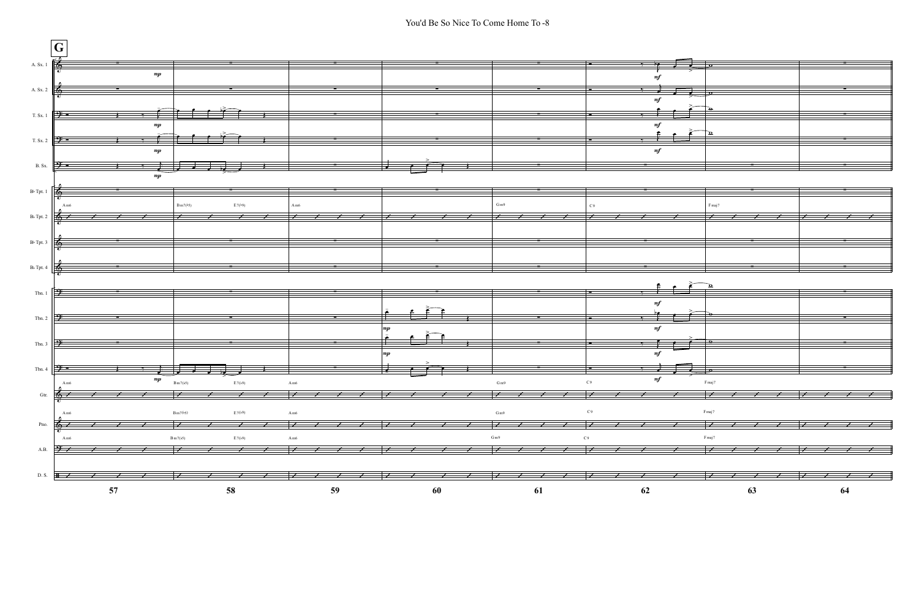

|        |                     | ▬ |
|--------|---------------------|---|
|        |                     |   |
|        | $\mathbf \sigma$    |   |
|        |                     |   |
|        |                     |   |
|        |                     |   |
|        |                     |   |
| ↘      |                     |   |
|        |                     |   |
|        |                     |   |
|        |                     |   |
|        |                     |   |
|        |                     |   |
|        |                     |   |
|        |                     |   |
|        |                     |   |
|        |                     |   |
|        |                     |   |
|        |                     |   |
|        |                     |   |
|        |                     |   |
|        |                     |   |
|        |                     |   |
|        |                     | - |
|        |                     |   |
|        |                     |   |
|        |                     |   |
| г<br>٠ | $\mathbf{o}$        |   |
|        |                     |   |
|        |                     |   |
| ⋝      |                     |   |
|        |                     |   |
|        |                     |   |
|        |                     |   |
|        |                     |   |
|        |                     |   |
|        |                     |   |
|        |                     |   |
|        |                     |   |
|        |                     |   |
|        |                     |   |
|        |                     |   |
|        |                     |   |
|        | $\ddot{\mathbf{e}}$ |   |
|        |                     |   |
|        |                     |   |
|        |                     | - |
|        |                     |   |
|        |                     |   |
|        |                     |   |
|        |                     |   |
|        |                     |   |
|        |                     |   |
|        |                     |   |
|        |                     |   |
|        |                     |   |
|        |                     |   |
|        |                     |   |
|        |                     |   |
|        |                     |   |
|        |                     |   |
|        |                     |   |
|        |                     |   |
|        |                     |   |
|        |                     |   |
|        |                     |   |
|        | $\mathbf{\Omega}$   |   |
|        |                     |   |
|        |                     |   |
|        |                     |   |
|        |                     |   |
|        |                     | ╾ |
|        |                     |   |
|        |                     |   |
|        |                     |   |
|        |                     |   |
|        |                     |   |
|        |                     |   |
|        |                     |   |
|        |                     |   |
|        |                     |   |
|        |                     |   |
|        |                     |   |
|        |                     |   |
|        |                     |   |
|        |                     |   |
|        |                     |   |
|        |                     |   |
|        |                     |   |
|        |                     |   |
|        |                     |   |
|        |                     |   |
|        |                     |   |
|        | -                   | - |
|        |                     |   |
|        |                     |   |
|        |                     |   |
|        |                     |   |

| F maj 7 |  |
|---------|--|
|         |  |
|         |  |
|         |  |
|         |  |
|         |  |
|         |  |
|         |  |
|         |  |
|         |  |
|         |  |
|         |  |
|         |  |
|         |  |
|         |  |
|         |  |
|         |  |
|         |  |
|         |  |
|         |  |
|         |  |
|         |  |
|         |  |
|         |  |
|         |  |
|         |  |
|         |  |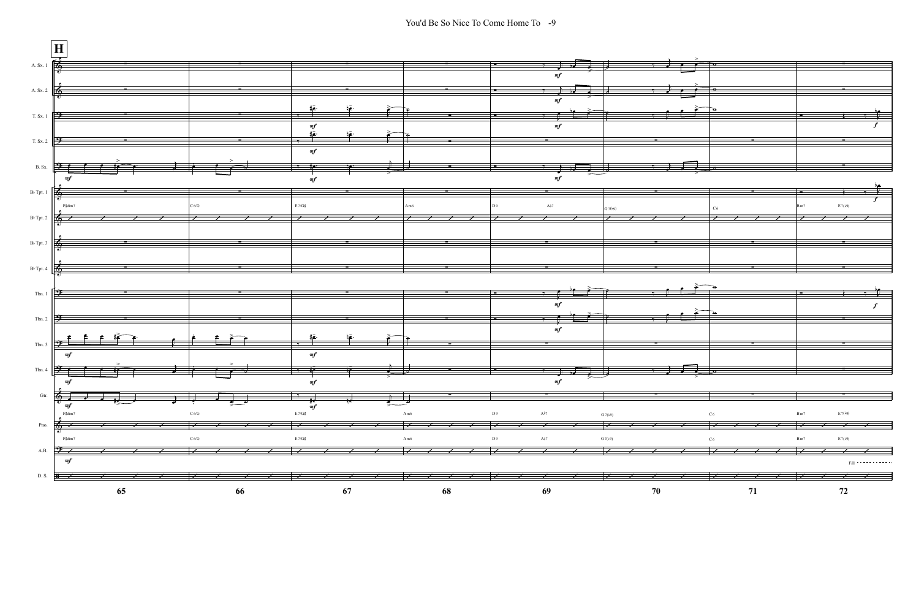

|  | ⊖         |         |
|--|-----------|---------|
|  |           |         |
|  |           | π.<br>- |
|  |           |         |
|  |           |         |
|  |           |         |
|  |           |         |
|  |           |         |
|  |           |         |
|  |           |         |
|  |           |         |
|  | $\bullet$ |         |
|  |           |         |
|  |           |         |
|  |           |         |
|  |           |         |
|  |           |         |
|  |           |         |
|  |           |         |
|  |           |         |
|  |           |         |
|  |           |         |
|  |           |         |
|  |           |         |
|  |           |         |
|  |           |         |
|  |           |         |
|  |           |         |
|  |           |         |
|  |           |         |
|  |           |         |
|  |           |         |
|  |           |         |
|  |           |         |
|  |           |         |
|  |           |         |
|  |           |         |
|  | ᠊ᢆᢐ       |         |
|  | -         |         |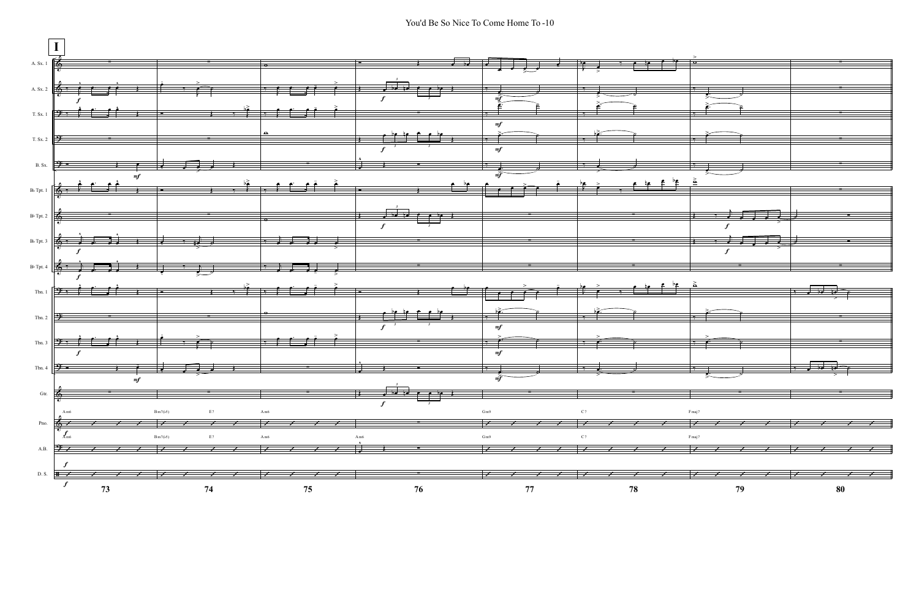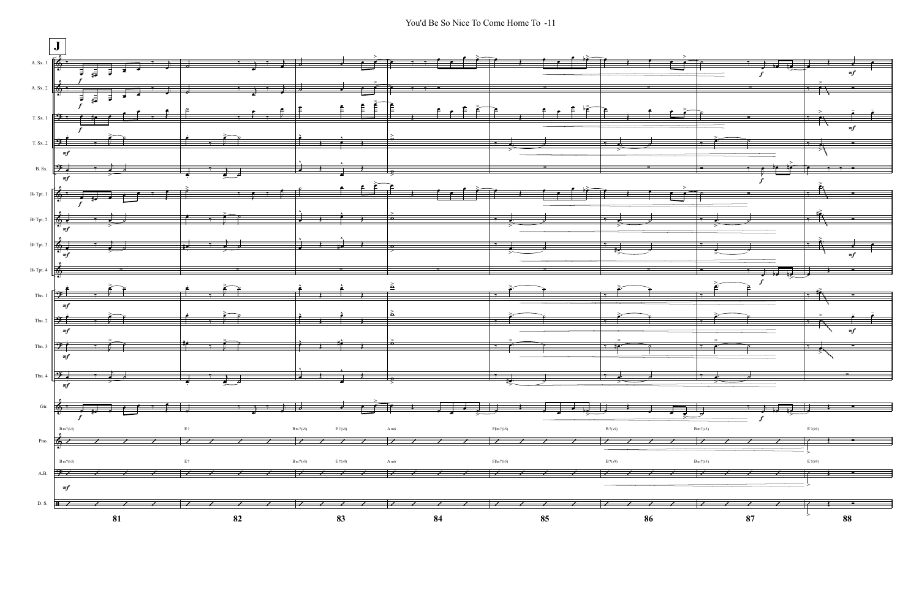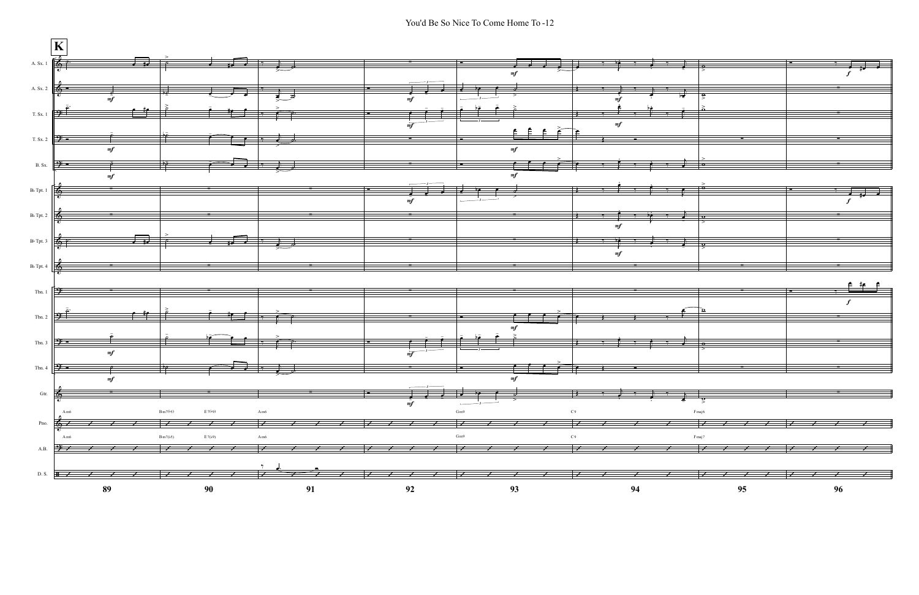